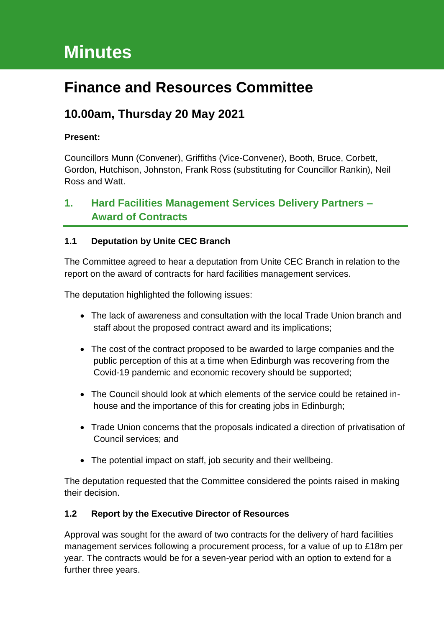# **Minutes**

# **Finance and Resources Committee**

# **10.00am, Thursday 20 May 2021**

### **Present:**

Councillors Munn (Convener), Griffiths (Vice-Convener), Booth, Bruce, Corbett, Gordon, Hutchison, Johnston, Frank Ross (substituting for Councillor Rankin), Neil Ross and Watt.

# **1. Hard Facilities Management Services Delivery Partners – Award of Contracts**

### **1.1 Deputation by Unite CEC Branch**

The Committee agreed to hear a deputation from Unite CEC Branch in relation to the report on the award of contracts for hard facilities management services.

The deputation highlighted the following issues:

- The lack of awareness and consultation with the local Trade Union branch and staff about the proposed contract award and its implications;
- The cost of the contract proposed to be awarded to large companies and the public perception of this at a time when Edinburgh was recovering from the Covid-19 pandemic and economic recovery should be supported;
- The Council should look at which elements of the service could be retained inhouse and the importance of this for creating jobs in Edinburgh;
- Trade Union concerns that the proposals indicated a direction of privatisation of Council services; and
- The potential impact on staff, job security and their wellbeing.

The deputation requested that the Committee considered the points raised in making their decision.

### **1.2 Report by the Executive Director of Resources**

Approval was sought for the award of two contracts for the delivery of hard facilities management services following a procurement process, for a value of up to £18m per year. The contracts would be for a seven-year period with an option to extend for a further three years.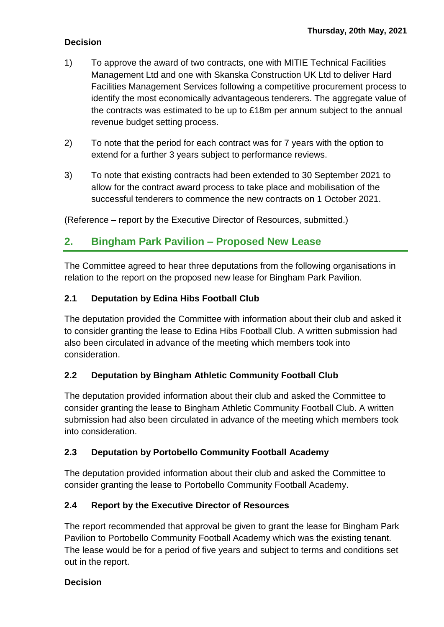- 1) To approve the award of two contracts, one with MITIE Technical Facilities Management Ltd and one with Skanska Construction UK Ltd to deliver Hard Facilities Management Services following a competitive procurement process to identify the most economically advantageous tenderers. The aggregate value of the contracts was estimated to be up to £18m per annum subject to the annual revenue budget setting process.
- 2) To note that the period for each contract was for 7 years with the option to extend for a further 3 years subject to performance reviews.
- 3) To note that existing contracts had been extended to 30 September 2021 to allow for the contract award process to take place and mobilisation of the successful tenderers to commence the new contracts on 1 October 2021.

(Reference – report by the Executive Director of Resources, submitted.)

### **2. Bingham Park Pavilion – Proposed New Lease**

The Committee agreed to hear three deputations from the following organisations in relation to the report on the proposed new lease for Bingham Park Pavilion.

### **2.1 Deputation by Edina Hibs Football Club**

The deputation provided the Committee with information about their club and asked it to consider granting the lease to Edina Hibs Football Club. A written submission had also been circulated in advance of the meeting which members took into consideration.

### **2.2 Deputation by Bingham Athletic Community Football Club**

The deputation provided information about their club and asked the Committee to consider granting the lease to Bingham Athletic Community Football Club. A written submission had also been circulated in advance of the meeting which members took into consideration.

### **2.3 Deputation by Portobello Community Football Academy**

The deputation provided information about their club and asked the Committee to consider granting the lease to Portobello Community Football Academy.

### **2.4 Report by the Executive Director of Resources**

The report recommended that approval be given to grant the lease for Bingham Park Pavilion to Portobello Community Football Academy which was the existing tenant. The lease would be for a period of five years and subject to terms and conditions set out in the report.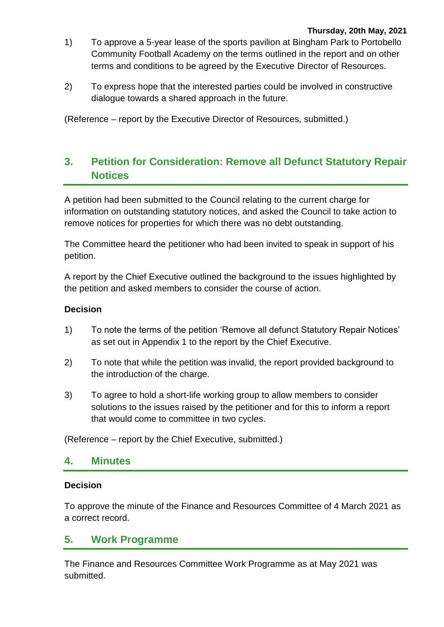- 1) To approve a 5-year lease of the sports pavilion at Bingham Park to Portobello Community Football Academy on the terms outlined in the report and on other terms and conditions to be agreed by the Executive Director of Resources.
- 2) To express hope that the interested parties could be involved in constructive dialogue towards a shared approach in the future.

(Reference – report by the Executive Director of Resources, submitted.)

# **3. Petition for Consideration: Remove all Defunct Statutory Repair Notices**

A petition had been submitted to the Council relating to the current charge for information on outstanding statutory notices, and asked the Council to take action to remove notices for properties for which there was no debt outstanding.

The Committee heard the petitioner who had been invited to speak in support of his petition.

A report by the Chief Executive outlined the background to the issues highlighted by the petition and asked members to consider the course of action.

#### **Decision**

- 1) To note the terms of the petition 'Remove all defunct Statutory Repair Notices' as set out in Appendix 1 to the report by the Chief Executive.
- 2) To note that while the petition was invalid, the report provided background to the introduction of the charge.
- 3) To agree to hold a short-life working group to allow members to consider solutions to the issues raised by the petitioner and for this to inform a report that would come to committee in two cycles.

(Reference – report by the Chief Executive, submitted.)

### **4. Minutes**

#### **Decision**

To approve the minute of the Finance and Resources Committee of 4 March 2021 as a correct record.

### **5. Work Programme**

The Finance and Resources Committee Work Programme as at May 2021 was submitted.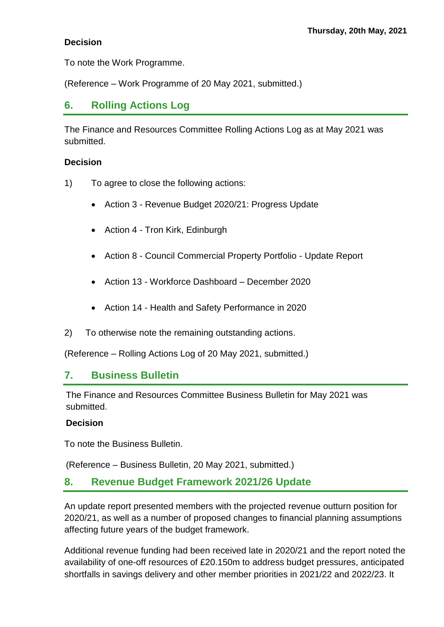To note the Work Programme.

(Reference – Work Programme of 20 May 2021, submitted.)

### **6. Rolling Actions Log**

The Finance and Resources Committee Rolling Actions Log as at May 2021 was submitted.

### **Decision**

- 1) To agree to close the following actions:
	- Action 3 Revenue Budget 2020/21: Progress Update
	- Action 4 Tron Kirk, Edinburgh
	- Action 8 Council Commercial Property Portfolio Update Report
	- Action 13 Workforce Dashboard December 2020
	- Action 14 Health and Safety Performance in 2020
- 2) To otherwise note the remaining outstanding actions.

(Reference – Rolling Actions Log of 20 May 2021, submitted.)

### **7. Business Bulletin**

The Finance and Resources Committee Business Bulletin for May 2021 was submitted.

### **Decision**

To note the Business Bulletin.

(Reference – Business Bulletin, 20 May 2021, submitted.)

### **8. Revenue Budget Framework 2021/26 Update**

An update report presented members with the projected revenue outturn position for 2020/21, as well as a number of proposed changes to financial planning assumptions affecting future years of the budget framework.

Additional revenue funding had been received late in 2020/21 and the report noted the availability of one-off resources of £20.150m to address budget pressures, anticipated shortfalls in savings delivery and other member priorities in 2021/22 and 2022/23. It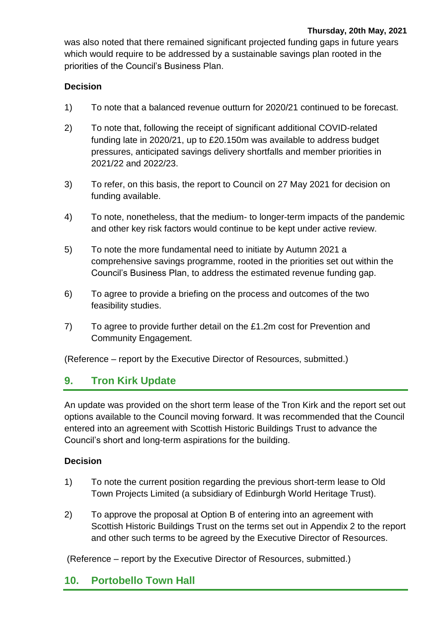was also noted that there remained significant projected funding gaps in future years which would require to be addressed by a sustainable savings plan rooted in the priorities of the Council's Business Plan.

### **Decision**

- 1) To note that a balanced revenue outturn for 2020/21 continued to be forecast.
- 2) To note that, following the receipt of significant additional COVID-related funding late in 2020/21, up to £20.150m was available to address budget pressures, anticipated savings delivery shortfalls and member priorities in 2021/22 and 2022/23.
- 3) To refer, on this basis, the report to Council on 27 May 2021 for decision on funding available.
- 4) To note, nonetheless, that the medium- to longer-term impacts of the pandemic and other key risk factors would continue to be kept under active review.
- 5) To note the more fundamental need to initiate by Autumn 2021 a comprehensive savings programme, rooted in the priorities set out within the Council's Business Plan, to address the estimated revenue funding gap.
- 6) To agree to provide a briefing on the process and outcomes of the two feasibility studies.
- 7) To agree to provide further detail on the £1.2m cost for Prevention and Community Engagement.

(Reference – report by the Executive Director of Resources, submitted.)

# **9. Tron Kirk Update**

An update was provided on the short term lease of the Tron Kirk and the report set out options available to the Council moving forward. It was recommended that the Council entered into an agreement with Scottish Historic Buildings Trust to advance the Council's short and long-term aspirations for the building.

### **Decision**

- 1) To note the current position regarding the previous short-term lease to Old Town Projects Limited (a subsidiary of Edinburgh World Heritage Trust).
- 2) To approve the proposal at Option B of entering into an agreement with Scottish Historic Buildings Trust on the terms set out in Appendix 2 to the report and other such terms to be agreed by the Executive Director of Resources.

(Reference – report by the Executive Director of Resources, submitted.)

### **10. Portobello Town Hall**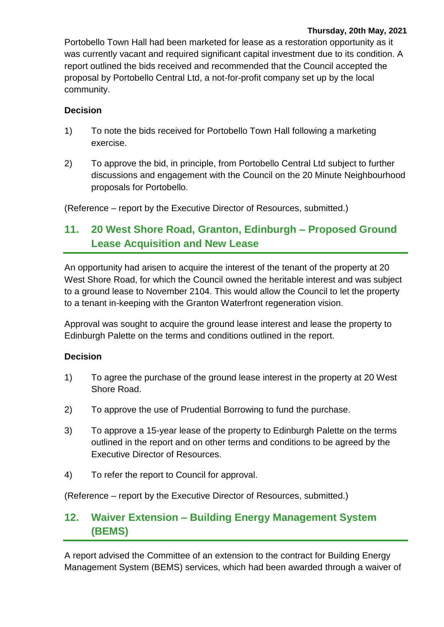Portobello Town Hall had been marketed for lease as a restoration opportunity as it was currently vacant and required significant capital investment due to its condition. A report outlined the bids received and recommended that the Council accepted the proposal by Portobello Central Ltd, a not-for-profit company set up by the local community.

### **Decision**

- 1) To note the bids received for Portobello Town Hall following a marketing exercise.
- 2) To approve the bid, in principle, from Portobello Central Ltd subject to further discussions and engagement with the Council on the 20 Minute Neighbourhood proposals for Portobello.

(Reference – report by the Executive Director of Resources, submitted.)

# **11. 20 West Shore Road, Granton, Edinburgh – Proposed Ground Lease Acquisition and New Lease**

An opportunity had arisen to acquire the interest of the tenant of the property at 20 West Shore Road, for which the Council owned the heritable interest and was subject to a ground lease to November 2104. This would allow the Council to let the property to a tenant in-keeping with the Granton Waterfront regeneration vision.

Approval was sought to acquire the ground lease interest and lease the property to Edinburgh Palette on the terms and conditions outlined in the report.

### **Decision**

- 1) To agree the purchase of the ground lease interest in the property at 20 West Shore Road.
- 2) To approve the use of Prudential Borrowing to fund the purchase.
- 3) To approve a 15-year lease of the property to Edinburgh Palette on the terms outlined in the report and on other terms and conditions to be agreed by the Executive Director of Resources.
- 4) To refer the report to Council for approval.

(Reference – report by the Executive Director of Resources, submitted.)

# **12. Waiver Extension – Building Energy Management System (BEMS)**

A report advised the Committee of an extension to the contract for Building Energy Management System (BEMS) services, which had been awarded through a waiver of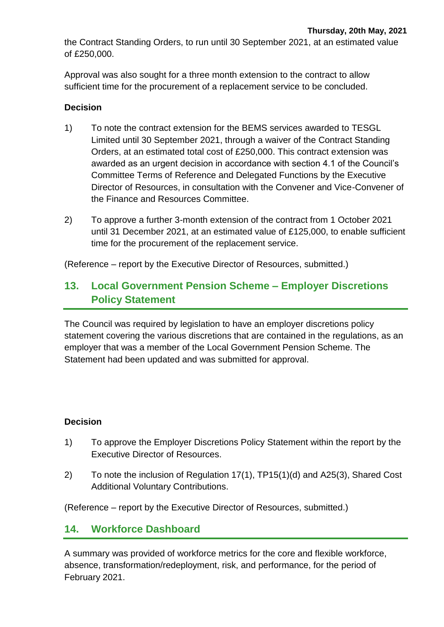the Contract Standing Orders, to run until 30 September 2021, at an estimated value of £250,000.

Approval was also sought for a three month extension to the contract to allow sufficient time for the procurement of a replacement service to be concluded.

#### **Decision**

- 1) To note the contract extension for the BEMS services awarded to TESGL Limited until 30 September 2021, through a waiver of the Contract Standing Orders, at an estimated total cost of £250,000. This contract extension was awarded as an urgent decision in accordance with section 4.1 of the Council's Committee Terms of Reference and Delegated Functions by the Executive Director of Resources, in consultation with the Convener and Vice-Convener of the Finance and Resources Committee.
- 2) To approve a further 3-month extension of the contract from 1 October 2021 until 31 December 2021, at an estimated value of £125,000, to enable sufficient time for the procurement of the replacement service.

(Reference – report by the Executive Director of Resources, submitted.)

# **13. Local Government Pension Scheme – Employer Discretions Policy Statement**

The Council was required by legislation to have an employer discretions policy statement covering the various discretions that are contained in the regulations, as an employer that was a member of the Local Government Pension Scheme. The Statement had been updated and was submitted for approval.

### **Decision**

- 1) To approve the Employer Discretions Policy Statement within the report by the Executive Director of Resources.
- 2) To note the inclusion of Regulation 17(1), TP15(1)(d) and A25(3), Shared Cost Additional Voluntary Contributions.

(Reference – report by the Executive Director of Resources, submitted.)

### **14. Workforce Dashboard**

A summary was provided of workforce metrics for the core and flexible workforce, absence, transformation/redeployment, risk, and performance, for the period of February 2021.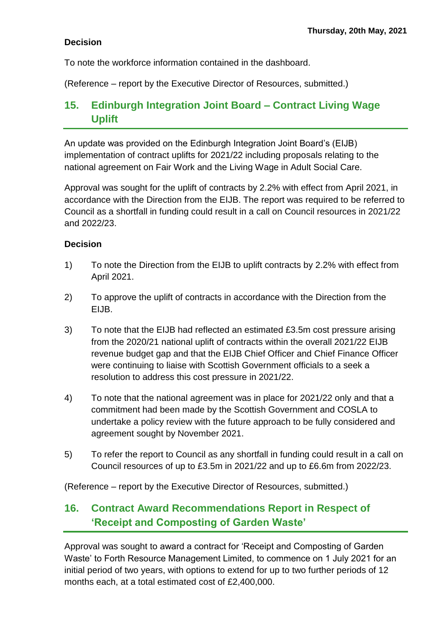To note the workforce information contained in the dashboard.

(Reference – report by the Executive Director of Resources, submitted.)

# **15. Edinburgh Integration Joint Board – Contract Living Wage Uplift**

An update was provided on the Edinburgh Integration Joint Board's (EIJB) implementation of contract uplifts for 2021/22 including proposals relating to the national agreement on Fair Work and the Living Wage in Adult Social Care.

Approval was sought for the uplift of contracts by 2.2% with effect from April 2021, in accordance with the Direction from the EIJB. The report was required to be referred to Council as a shortfall in funding could result in a call on Council resources in 2021/22 and 2022/23.

### **Decision**

- 1) To note the Direction from the EIJB to uplift contracts by 2.2% with effect from April 2021.
- 2) To approve the uplift of contracts in accordance with the Direction from the EIJB.
- 3) To note that the EIJB had reflected an estimated £3.5m cost pressure arising from the 2020/21 national uplift of contracts within the overall 2021/22 EIJB revenue budget gap and that the EIJB Chief Officer and Chief Finance Officer were continuing to liaise with Scottish Government officials to a seek a resolution to address this cost pressure in 2021/22.
- 4) To note that the national agreement was in place for 2021/22 only and that a commitment had been made by the Scottish Government and COSLA to undertake a policy review with the future approach to be fully considered and agreement sought by November 2021.
- 5) To refer the report to Council as any shortfall in funding could result in a call on Council resources of up to £3.5m in 2021/22 and up to £6.6m from 2022/23.

(Reference – report by the Executive Director of Resources, submitted.)

# **16. Contract Award Recommendations Report in Respect of 'Receipt and Composting of Garden Waste'**

Approval was sought to award a contract for 'Receipt and Composting of Garden Waste' to Forth Resource Management Limited, to commence on 1 July 2021 for an initial period of two years, with options to extend for up to two further periods of 12 months each, at a total estimated cost of £2,400,000.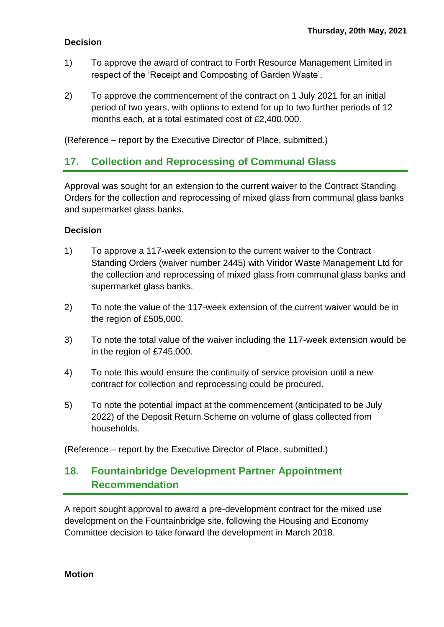- 1) To approve the award of contract to Forth Resource Management Limited in respect of the 'Receipt and Composting of Garden Waste'.
- 2) To approve the commencement of the contract on 1 July 2021 for an initial period of two years, with options to extend for up to two further periods of 12 months each, at a total estimated cost of £2,400,000.

(Reference – report by the Executive Director of Place, submitted.)

### **17. Collection and Reprocessing of Communal Glass**

Approval was sought for an extension to the current waiver to the Contract Standing Orders for the collection and reprocessing of mixed glass from communal glass banks and supermarket glass banks.

#### **Decision**

- 1) To approve a 117-week extension to the current waiver to the Contract Standing Orders (waiver number 2445) with Viridor Waste Management Ltd for the collection and reprocessing of mixed glass from communal glass banks and supermarket glass banks.
- 2) To note the value of the 117-week extension of the current waiver would be in the region of £505,000.
- 3) To note the total value of the waiver including the 117-week extension would be in the region of £745,000.
- 4) To note this would ensure the continuity of service provision until a new contract for collection and reprocessing could be procured.
- 5) To note the potential impact at the commencement (anticipated to be July 2022) of the Deposit Return Scheme on volume of glass collected from households.

(Reference – report by the Executive Director of Place, submitted.)

### **18. Fountainbridge Development Partner Appointment Recommendation**

A report sought approval to award a pre-development contract for the mixed use development on the Fountainbridge site, following the Housing and Economy Committee decision to take forward the development in March 2018.

#### **Motion**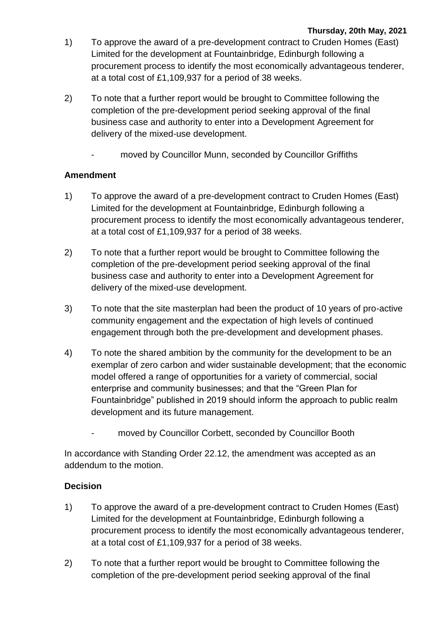- 1) To approve the award of a pre-development contract to Cruden Homes (East) Limited for the development at Fountainbridge, Edinburgh following a procurement process to identify the most economically advantageous tenderer, at a total cost of £1,109,937 for a period of 38 weeks.
- 2) To note that a further report would be brought to Committee following the completion of the pre-development period seeking approval of the final business case and authority to enter into a Development Agreement for delivery of the mixed-use development.
	- moved by Councillor Munn, seconded by Councillor Griffiths

### **Amendment**

- 1) To approve the award of a pre-development contract to Cruden Homes (East) Limited for the development at Fountainbridge, Edinburgh following a procurement process to identify the most economically advantageous tenderer, at a total cost of £1,109,937 for a period of 38 weeks.
- 2) To note that a further report would be brought to Committee following the completion of the pre-development period seeking approval of the final business case and authority to enter into a Development Agreement for delivery of the mixed-use development.
- 3) To note that the site masterplan had been the product of 10 years of pro-active community engagement and the expectation of high levels of continued engagement through both the pre-development and development phases.
- 4) To note the shared ambition by the community for the development to be an exemplar of zero carbon and wider sustainable development; that the economic model offered a range of opportunities for a variety of commercial, social enterprise and community businesses; and that the "Green Plan for Fountainbridge" published in 2019 should inform the approach to public realm development and its future management.
	- moved by Councillor Corbett, seconded by Councillor Booth

In accordance with Standing Order 22.12, the amendment was accepted as an addendum to the motion.

- 1) To approve the award of a pre-development contract to Cruden Homes (East) Limited for the development at Fountainbridge, Edinburgh following a procurement process to identify the most economically advantageous tenderer, at a total cost of £1,109,937 for a period of 38 weeks.
- 2) To note that a further report would be brought to Committee following the completion of the pre-development period seeking approval of the final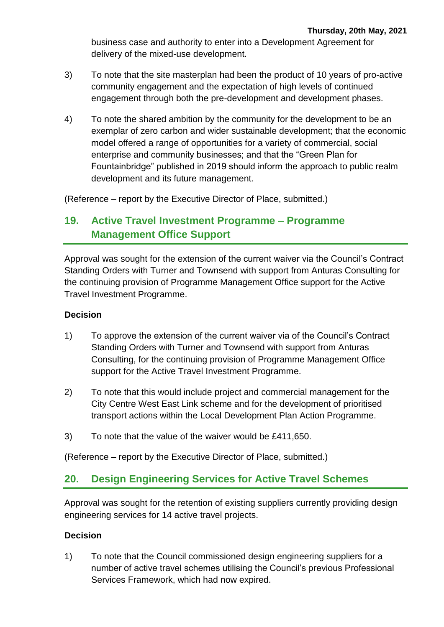business case and authority to enter into a Development Agreement for delivery of the mixed-use development.

- 3) To note that the site masterplan had been the product of 10 years of pro-active community engagement and the expectation of high levels of continued engagement through both the pre-development and development phases.
- 4) To note the shared ambition by the community for the development to be an exemplar of zero carbon and wider sustainable development; that the economic model offered a range of opportunities for a variety of commercial, social enterprise and community businesses; and that the "Green Plan for Fountainbridge" published in 2019 should inform the approach to public realm development and its future management.

(Reference – report by the Executive Director of Place, submitted.)

# **19. Active Travel Investment Programme – Programme Management Office Support**

Approval was sought for the extension of the current waiver via the Council's Contract Standing Orders with Turner and Townsend with support from Anturas Consulting for the continuing provision of Programme Management Office support for the Active Travel Investment Programme.

### **Decision**

- 1) To approve the extension of the current waiver via of the Council's Contract Standing Orders with Turner and Townsend with support from Anturas Consulting, for the continuing provision of Programme Management Office support for the Active Travel Investment Programme.
- 2) To note that this would include project and commercial management for the City Centre West East Link scheme and for the development of prioritised transport actions within the Local Development Plan Action Programme.
- 3) To note that the value of the waiver would be £411,650.

(Reference – report by the Executive Director of Place, submitted.)

### **20. Design Engineering Services for Active Travel Schemes**

Approval was sought for the retention of existing suppliers currently providing design engineering services for 14 active travel projects.

### **Decision**

1) To note that the Council commissioned design engineering suppliers for a number of active travel schemes utilising the Council's previous Professional Services Framework, which had now expired.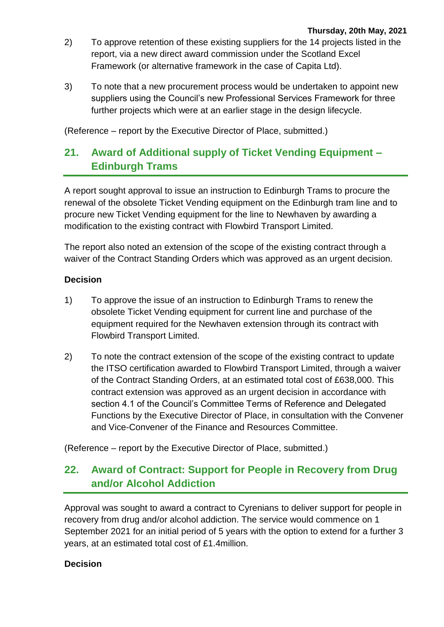- 2) To approve retention of these existing suppliers for the 14 projects listed in the report, via a new direct award commission under the Scotland Excel Framework (or alternative framework in the case of Capita Ltd).
- 3) To note that a new procurement process would be undertaken to appoint new suppliers using the Council's new Professional Services Framework for three further projects which were at an earlier stage in the design lifecycle.

(Reference – report by the Executive Director of Place, submitted.)

# **21. Award of Additional supply of Ticket Vending Equipment – Edinburgh Trams**

A report sought approval to issue an instruction to Edinburgh Trams to procure the renewal of the obsolete Ticket Vending equipment on the Edinburgh tram line and to procure new Ticket Vending equipment for the line to Newhaven by awarding a modification to the existing contract with Flowbird Transport Limited.

The report also noted an extension of the scope of the existing contract through a waiver of the Contract Standing Orders which was approved as an urgent decision.

#### **Decision**

- 1) To approve the issue of an instruction to Edinburgh Trams to renew the obsolete Ticket Vending equipment for current line and purchase of the equipment required for the Newhaven extension through its contract with Flowbird Transport Limited.
- 2) To note the contract extension of the scope of the existing contract to update the ITSO certification awarded to Flowbird Transport Limited, through a waiver of the Contract Standing Orders, at an estimated total cost of £638,000. This contract extension was approved as an urgent decision in accordance with section 4.1 of the Council's Committee Terms of Reference and Delegated Functions by the Executive Director of Place, in consultation with the Convener and Vice-Convener of the Finance and Resources Committee.

(Reference – report by the Executive Director of Place, submitted.)

# **22. Award of Contract: Support for People in Recovery from Drug and/or Alcohol Addiction**

Approval was sought to award a contract to Cyrenians to deliver support for people in recovery from drug and/or alcohol addiction. The service would commence on 1 September 2021 for an initial period of 5 years with the option to extend for a further 3 years, at an estimated total cost of £1.4million.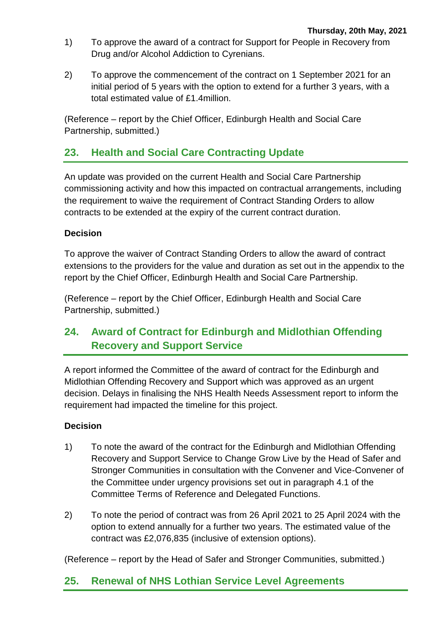- 1) To approve the award of a contract for Support for People in Recovery from Drug and/or Alcohol Addiction to Cyrenians.
- 2) To approve the commencement of the contract on 1 September 2021 for an initial period of 5 years with the option to extend for a further 3 years, with a total estimated value of £1.4million.

(Reference – report by the Chief Officer, Edinburgh Health and Social Care Partnership, submitted.)

# **23. Health and Social Care Contracting Update**

An update was provided on the current Health and Social Care Partnership commissioning activity and how this impacted on contractual arrangements, including the requirement to waive the requirement of Contract Standing Orders to allow contracts to be extended at the expiry of the current contract duration.

### **Decision**

To approve the waiver of Contract Standing Orders to allow the award of contract extensions to the providers for the value and duration as set out in the appendix to the report by the Chief Officer, Edinburgh Health and Social Care Partnership.

(Reference – report by the Chief Officer, Edinburgh Health and Social Care Partnership, submitted.)

# **24. Award of Contract for Edinburgh and Midlothian Offending Recovery and Support Service**

A report informed the Committee of the award of contract for the Edinburgh and Midlothian Offending Recovery and Support which was approved as an urgent decision. Delays in finalising the NHS Health Needs Assessment report to inform the requirement had impacted the timeline for this project.

### **Decision**

- 1) To note the award of the contract for the Edinburgh and Midlothian Offending Recovery and Support Service to Change Grow Live by the Head of Safer and Stronger Communities in consultation with the Convener and Vice-Convener of the Committee under urgency provisions set out in paragraph 4.1 of the Committee Terms of Reference and Delegated Functions.
- 2) To note the period of contract was from 26 April 2021 to 25 April 2024 with the option to extend annually for a further two years. The estimated value of the contract was £2,076,835 (inclusive of extension options).

(Reference – report by the Head of Safer and Stronger Communities, submitted.)

### **25. Renewal of NHS Lothian Service Level Agreements**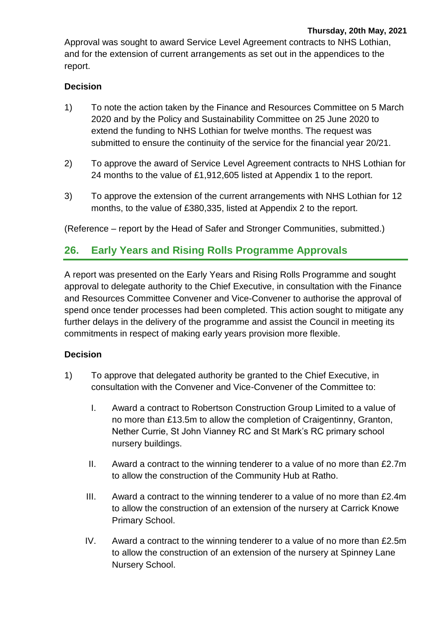Approval was sought to award Service Level Agreement contracts to NHS Lothian, and for the extension of current arrangements as set out in the appendices to the report.

### **Decision**

- 1) To note the action taken by the Finance and Resources Committee on 5 March 2020 and by the Policy and Sustainability Committee on 25 June 2020 to extend the funding to NHS Lothian for twelve months. The request was submitted to ensure the continuity of the service for the financial year 20/21.
- 2) To approve the award of Service Level Agreement contracts to NHS Lothian for 24 months to the value of £1,912,605 listed at Appendix 1 to the report.
- 3) To approve the extension of the current arrangements with NHS Lothian for 12 months, to the value of £380,335, listed at Appendix 2 to the report.

(Reference – report by the Head of Safer and Stronger Communities, submitted.)

### **26. Early Years and Rising Rolls Programme Approvals**

A report was presented on the Early Years and Rising Rolls Programme and sought approval to delegate authority to the Chief Executive, in consultation with the Finance and Resources Committee Convener and Vice-Convener to authorise the approval of spend once tender processes had been completed. This action sought to mitigate any further delays in the delivery of the programme and assist the Council in meeting its commitments in respect of making early years provision more flexible.

- 1) To approve that delegated authority be granted to the Chief Executive, in consultation with the Convener and Vice-Convener of the Committee to:
	- I. Award a contract to Robertson Construction Group Limited to a value of no more than £13.5m to allow the completion of Craigentinny, Granton, Nether Currie, St John Vianney RC and St Mark's RC primary school nursery buildings.
	- II. Award a contract to the winning tenderer to a value of no more than £2.7m to allow the construction of the Community Hub at Ratho.
	- III. Award a contract to the winning tenderer to a value of no more than £2.4m to allow the construction of an extension of the nursery at Carrick Knowe Primary School.
	- IV. Award a contract to the winning tenderer to a value of no more than £2.5m to allow the construction of an extension of the nursery at Spinney Lane Nursery School.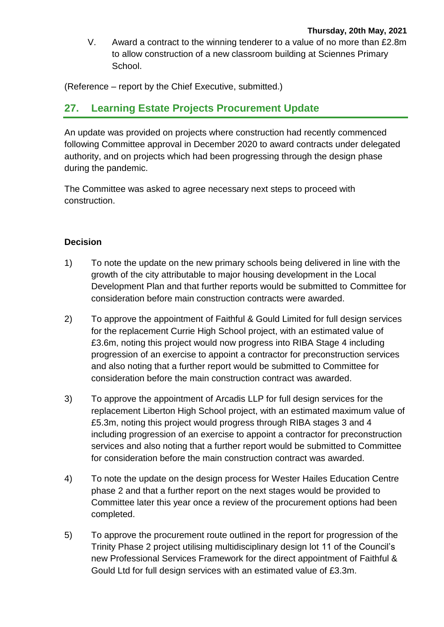V. Award a contract to the winning tenderer to a value of no more than £2.8m to allow construction of a new classroom building at Sciennes Primary School.

(Reference – report by the Chief Executive, submitted.)

# **27. Learning Estate Projects Procurement Update**

An update was provided on projects where construction had recently commenced following Committee approval in December 2020 to award contracts under delegated authority, and on projects which had been progressing through the design phase during the pandemic.

The Committee was asked to agree necessary next steps to proceed with construction.

- 1) To note the update on the new primary schools being delivered in line with the growth of the city attributable to major housing development in the Local Development Plan and that further reports would be submitted to Committee for consideration before main construction contracts were awarded.
- 2) To approve the appointment of Faithful & Gould Limited for full design services for the replacement Currie High School project, with an estimated value of £3.6m, noting this project would now progress into RIBA Stage 4 including progression of an exercise to appoint a contractor for preconstruction services and also noting that a further report would be submitted to Committee for consideration before the main construction contract was awarded.
- 3) To approve the appointment of Arcadis LLP for full design services for the replacement Liberton High School project, with an estimated maximum value of £5.3m, noting this project would progress through RIBA stages 3 and 4 including progression of an exercise to appoint a contractor for preconstruction services and also noting that a further report would be submitted to Committee for consideration before the main construction contract was awarded.
- 4) To note the update on the design process for Wester Hailes Education Centre phase 2 and that a further report on the next stages would be provided to Committee later this year once a review of the procurement options had been completed.
- 5) To approve the procurement route outlined in the report for progression of the Trinity Phase 2 project utilising multidisciplinary design lot 11 of the Council's new Professional Services Framework for the direct appointment of Faithful & Gould Ltd for full design services with an estimated value of £3.3m.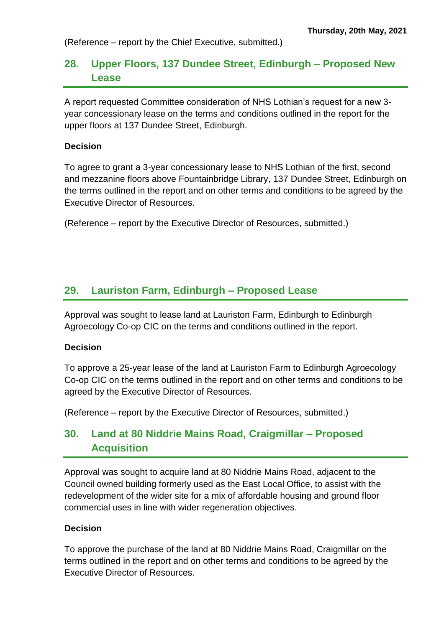(Reference – report by the Chief Executive, submitted.)

# **28. Upper Floors, 137 Dundee Street, Edinburgh – Proposed New Lease**

A report requested Committee consideration of NHS Lothian's request for a new 3 year concessionary lease on the terms and conditions outlined in the report for the upper floors at 137 Dundee Street, Edinburgh.

#### **Decision**

To agree to grant a 3-year concessionary lease to NHS Lothian of the first, second and mezzanine floors above Fountainbridge Library, 137 Dundee Street, Edinburgh on the terms outlined in the report and on other terms and conditions to be agreed by the Executive Director of Resources.

(Reference – report by the Executive Director of Resources, submitted.)

### **29. Lauriston Farm, Edinburgh – Proposed Lease**

Approval was sought to lease land at Lauriston Farm, Edinburgh to Edinburgh Agroecology Co-op CIC on the terms and conditions outlined in the report.

### **Decision**

To approve a 25-year lease of the land at Lauriston Farm to Edinburgh Agroecology Co-op CIC on the terms outlined in the report and on other terms and conditions to be agreed by the Executive Director of Resources.

(Reference – report by the Executive Director of Resources, submitted.)

# **30. Land at 80 Niddrie Mains Road, Craigmillar – Proposed Acquisition**

Approval was sought to acquire land at 80 Niddrie Mains Road, adjacent to the Council owned building formerly used as the East Local Office, to assist with the redevelopment of the wider site for a mix of affordable housing and ground floor commercial uses in line with wider regeneration objectives.

#### **Decision**

To approve the purchase of the land at 80 Niddrie Mains Road, Craigmillar on the terms outlined in the report and on other terms and conditions to be agreed by the Executive Director of Resources.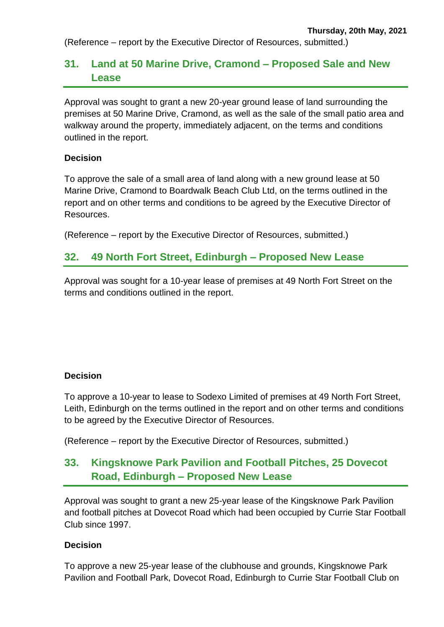(Reference – report by the Executive Director of Resources, submitted.)

# **31. Land at 50 Marine Drive, Cramond – Proposed Sale and New Lease**

Approval was sought to grant a new 20-year ground lease of land surrounding the premises at 50 Marine Drive, Cramond, as well as the sale of the small patio area and walkway around the property, immediately adjacent, on the terms and conditions outlined in the report.

#### **Decision**

To approve the sale of a small area of land along with a new ground lease at 50 Marine Drive, Cramond to Boardwalk Beach Club Ltd, on the terms outlined in the report and on other terms and conditions to be agreed by the Executive Director of Resources.

(Reference – report by the Executive Director of Resources, submitted.)

### **32. 49 North Fort Street, Edinburgh – Proposed New Lease**

Approval was sought for a 10-year lease of premises at 49 North Fort Street on the terms and conditions outlined in the report.

### **Decision**

To approve a 10-year to lease to Sodexo Limited of premises at 49 North Fort Street, Leith, Edinburgh on the terms outlined in the report and on other terms and conditions to be agreed by the Executive Director of Resources.

(Reference – report by the Executive Director of Resources, submitted.)

# **33. Kingsknowe Park Pavilion and Football Pitches, 25 Dovecot Road, Edinburgh – Proposed New Lease**

Approval was sought to grant a new 25-year lease of the Kingsknowe Park Pavilion and football pitches at Dovecot Road which had been occupied by Currie Star Football Club since 1997.

### **Decision**

To approve a new 25-year lease of the clubhouse and grounds, Kingsknowe Park Pavilion and Football Park, Dovecot Road, Edinburgh to Currie Star Football Club on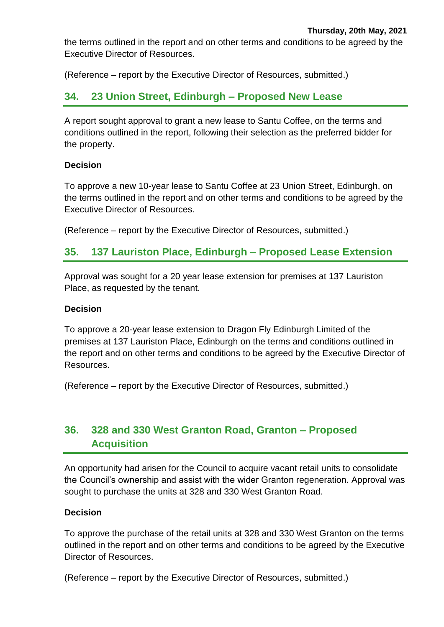the terms outlined in the report and on other terms and conditions to be agreed by the Executive Director of Resources.

(Reference – report by the Executive Director of Resources, submitted.)

### **34. 23 Union Street, Edinburgh – Proposed New Lease**

A report sought approval to grant a new lease to Santu Coffee, on the terms and conditions outlined in the report, following their selection as the preferred bidder for the property.

### **Decision**

To approve a new 10-year lease to Santu Coffee at 23 Union Street, Edinburgh, on the terms outlined in the report and on other terms and conditions to be agreed by the Executive Director of Resources.

(Reference – report by the Executive Director of Resources, submitted.)

### **35. 137 Lauriston Place, Edinburgh – Proposed Lease Extension**

Approval was sought for a 20 year lease extension for premises at 137 Lauriston Place, as requested by the tenant.

#### **Decision**

To approve a 20-year lease extension to Dragon Fly Edinburgh Limited of the premises at 137 Lauriston Place, Edinburgh on the terms and conditions outlined in the report and on other terms and conditions to be agreed by the Executive Director of Resources.

(Reference – report by the Executive Director of Resources, submitted.)

# **36. 328 and 330 West Granton Road, Granton – Proposed Acquisition**

An opportunity had arisen for the Council to acquire vacant retail units to consolidate the Council's ownership and assist with the wider Granton regeneration. Approval was sought to purchase the units at 328 and 330 West Granton Road.

#### **Decision**

To approve the purchase of the retail units at 328 and 330 West Granton on the terms outlined in the report and on other terms and conditions to be agreed by the Executive Director of Resources.

(Reference – report by the Executive Director of Resources, submitted.)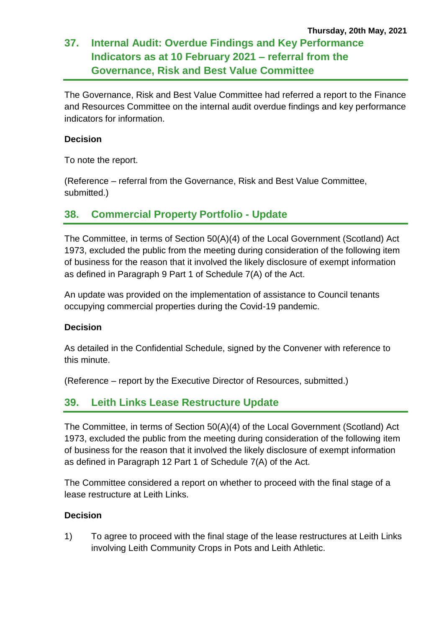# **37. Internal Audit: Overdue Findings and Key Performance Indicators as at 10 February 2021 – referral from the Governance, Risk and Best Value Committee**

The Governance, Risk and Best Value Committee had referred a report to the Finance and Resources Committee on the internal audit overdue findings and key performance indicators for information.

### **Decision**

To note the report.

(Reference – referral from the Governance, Risk and Best Value Committee, submitted.)

# **38. Commercial Property Portfolio - Update**

The Committee, in terms of Section 50(A)(4) of the Local Government (Scotland) Act 1973, excluded the public from the meeting during consideration of the following item of business for the reason that it involved the likely disclosure of exempt information as defined in Paragraph 9 Part 1 of Schedule 7(A) of the Act.

An update was provided on the implementation of assistance to Council tenants occupying commercial properties during the Covid-19 pandemic.

### **Decision**

As detailed in the Confidential Schedule, signed by the Convener with reference to this minute.

(Reference – report by the Executive Director of Resources, submitted.)

# **39. Leith Links Lease Restructure Update**

The Committee, in terms of Section 50(A)(4) of the Local Government (Scotland) Act 1973, excluded the public from the meeting during consideration of the following item of business for the reason that it involved the likely disclosure of exempt information as defined in Paragraph 12 Part 1 of Schedule 7(A) of the Act.

The Committee considered a report on whether to proceed with the final stage of a lease restructure at Leith Links.

### **Decision**

1) To agree to proceed with the final stage of the lease restructures at Leith Links involving Leith Community Crops in Pots and Leith Athletic.